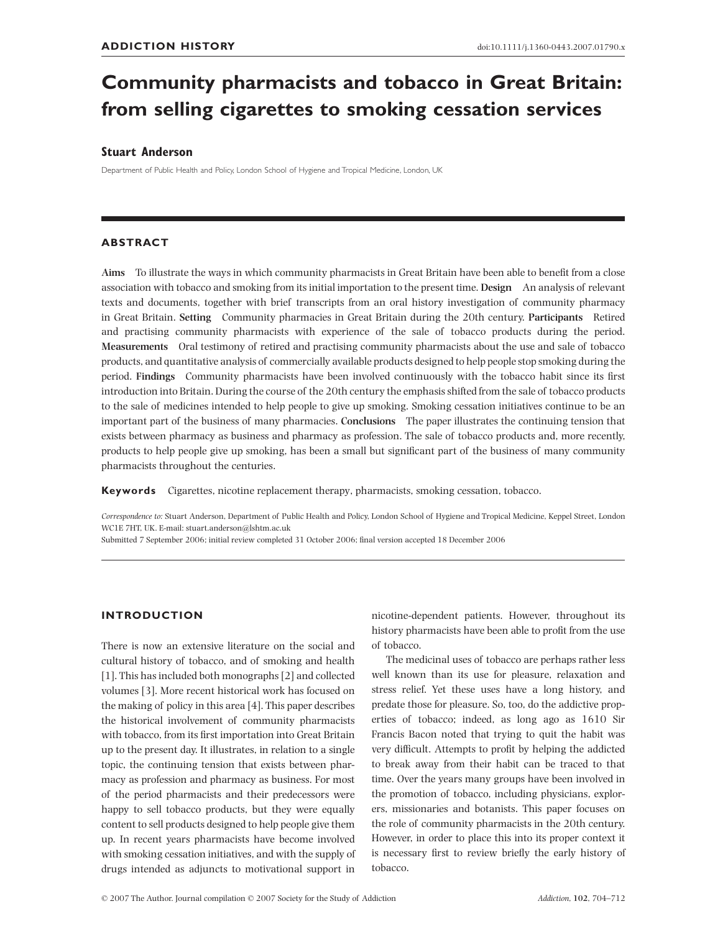# **Community pharmacists and tobacco in Great Britain: from selling cigarettes to smoking cessation services**

#### **Stuart Anderson**

Department of Public Health and Policy, London School of Hygiene and Tropical Medicine, London, UK

#### **ABSTRACT**

**Aims** To illustrate the ways in which community pharmacists in Great Britain have been able to benefit from a close association with tobacco and smoking from its initial importation to the present time. **Design** An analysis of relevant texts and documents, together with brief transcripts from an oral history investigation of community pharmacy in Great Britain. **Setting** Community pharmacies in Great Britain during the 20th century. **Participants** Retired and practising community pharmacists with experience of the sale of tobacco products during the period. **Measurements** Oral testimony of retired and practising community pharmacists about the use and sale of tobacco products, and quantitative analysis of commercially available products designed to help people stop smoking during the period. **Findings** Community pharmacists have been involved continuously with the tobacco habit since its first introduction into Britain. During the course of the 20th century the emphasis shifted from the sale of tobacco products to the sale of medicines intended to help people to give up smoking. Smoking cessation initiatives continue to be an important part of the business of many pharmacies. **Conclusions** The paper illustrates the continuing tension that exists between pharmacy as business and pharmacy as profession. The sale of tobacco products and, more recently, products to help people give up smoking, has been a small but significant part of the business of many community pharmacists throughout the centuries.

**Keywords** Cigarettes, nicotine replacement therapy, pharmacists, smoking cessation, tobacco.

*Correspondence to:* Stuart Anderson, Department of Public Health and Policy, London School of Hygiene and Tropical Medicine, Keppel Street, London WC1E 7HT, UK. E-mail: stuart.[anderson@lshtm.ac.uk](mailto:anderson@lshtm.ac.uk)

Submitted 7 September 2006; initial review completed 31 October 2006; final version accepted 18 December 2006

## **INTRODUCTION**

There is now an extensive literature on the social and cultural history of tobacco, and of smoking and health [1]. This has included both monographs [2] and collected volumes [3]. More recent historical work has focused on the making of policy in this area [4]. This paper describes the historical involvement of community pharmacists with tobacco, from its first importation into Great Britain up to the present day. It illustrates, in relation to a single topic, the continuing tension that exists between pharmacy as profession and pharmacy as business. For most of the period pharmacists and their predecessors were happy to sell tobacco products, but they were equally content to sell products designed to help people give them up. In recent years pharmacists have become involved with smoking cessation initiatives, and with the supply of drugs intended as adjuncts to motivational support in

nicotine-dependent patients. However, throughout its history pharmacists have been able to profit from the use of tobacco.

The medicinal uses of tobacco are perhaps rather less well known than its use for pleasure, relaxation and stress relief. Yet these uses have a long history, and predate those for pleasure. So, too, do the addictive properties of tobacco; indeed, as long ago as 1610 Sir Francis Bacon noted that trying to quit the habit was very difficult. Attempts to profit by helping the addicted to break away from their habit can be traced to that time. Over the years many groups have been involved in the promotion of tobacco, including physicians, explorers, missionaries and botanists. This paper focuses on the role of community pharmacists in the 20th century. However, in order to place this into its proper context it is necessary first to review briefly the early history of tobacco.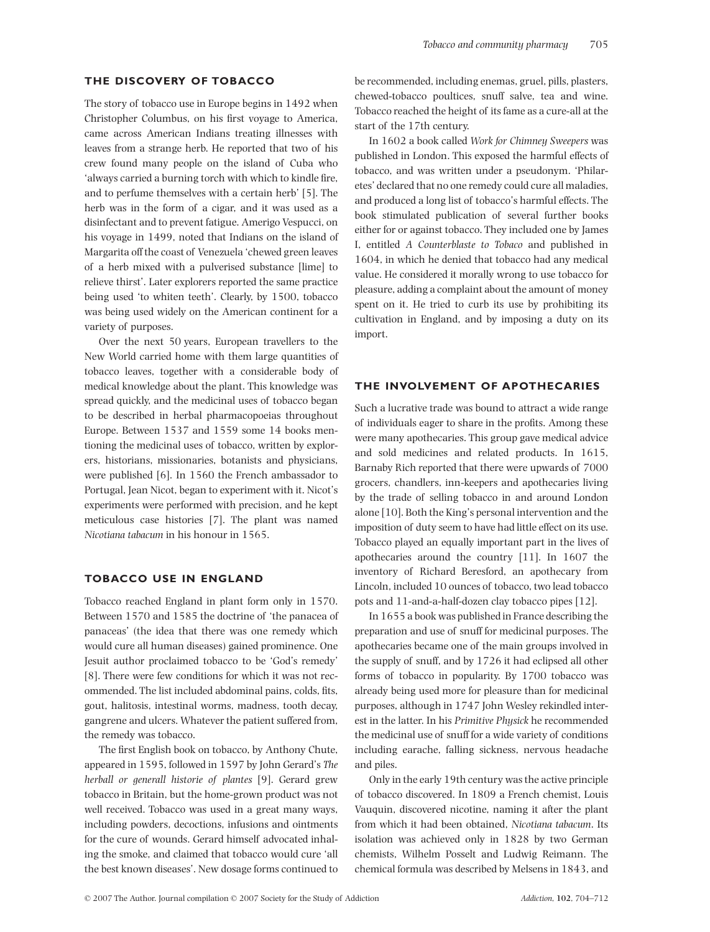### **THE DISCOVERY OF TOBACCO**

The story of tobacco use in Europe begins in 1492 when Christopher Columbus, on his first voyage to America, came across American Indians treating illnesses with leaves from a strange herb. He reported that two of his crew found many people on the island of Cuba who 'always carried a burning torch with which to kindle fire, and to perfume themselves with a certain herb' [5]. The herb was in the form of a cigar, and it was used as a disinfectant and to prevent fatigue. Amerigo Vespucci, on his voyage in 1499, noted that Indians on the island of Margarita off the coast of Venezuela 'chewed green leaves of a herb mixed with a pulverised substance [lime] to relieve thirst'. Later explorers reported the same practice being used 'to whiten teeth'. Clearly, by 1500, tobacco was being used widely on the American continent for a variety of purposes.

Over the next 50 years, European travellers to the New World carried home with them large quantities of tobacco leaves, together with a considerable body of medical knowledge about the plant. This knowledge was spread quickly, and the medicinal uses of tobacco began to be described in herbal pharmacopoeias throughout Europe. Between 1537 and 1559 some 14 books mentioning the medicinal uses of tobacco, written by explorers, historians, missionaries, botanists and physicians, were published [6]. In 1560 the French ambassador to Portugal, Jean Nicot, began to experiment with it. Nicot's experiments were performed with precision, and he kept meticulous case histories [7]. The plant was named *Nicotiana tabacum* in his honour in 1565.

### **TOBACCO USE IN ENGLAND**

Tobacco reached England in plant form only in 1570. Between 1570 and 1585 the doctrine of 'the panacea of panaceas' (the idea that there was one remedy which would cure all human diseases) gained prominence. One Jesuit author proclaimed tobacco to be 'God's remedy' [8]. There were few conditions for which it was not recommended. The list included abdominal pains, colds, fits, gout, halitosis, intestinal worms, madness, tooth decay, gangrene and ulcers. Whatever the patient suffered from, the remedy was tobacco.

The first English book on tobacco, by Anthony Chute, appeared in 1595, followed in 1597 by John Gerard's *The herball or generall historie of plantes* [9]. Gerard grew tobacco in Britain, but the home-grown product was not well received. Tobacco was used in a great many ways, including powders, decoctions, infusions and ointments for the cure of wounds. Gerard himself advocated inhaling the smoke, and claimed that tobacco would cure 'all the best known diseases'. New dosage forms continued to be recommended, including enemas, gruel, pills, plasters, chewed-tobacco poultices, snuff salve, tea and wine. Tobacco reached the height of its fame as a cure-all at the start of the 17th century.

In 1602 a book called *Work for Chimney Sweepers* was published in London. This exposed the harmful effects of tobacco, and was written under a pseudonym. 'Philaretes' declared that no one remedy could cure all maladies, and produced a long list of tobacco's harmful effects. The book stimulated publication of several further books either for or against tobacco. They included one by James I, entitled *A Counterblaste to Tobaco* and published in 1604, in which he denied that tobacco had any medical value. He considered it morally wrong to use tobacco for pleasure, adding a complaint about the amount of money spent on it. He tried to curb its use by prohibiting its cultivation in England, and by imposing a duty on its import.

## **THE INVOLVEMENT OF APOTHECARIES**

Such a lucrative trade was bound to attract a wide range of individuals eager to share in the profits. Among these were many apothecaries. This group gave medical advice and sold medicines and related products. In 1615, Barnaby Rich reported that there were upwards of 7000 grocers, chandlers, inn-keepers and apothecaries living by the trade of selling tobacco in and around London alone [10]. Both the King's personal intervention and the imposition of duty seem to have had little effect on its use. Tobacco played an equally important part in the lives of apothecaries around the country [11]. In 1607 the inventory of Richard Beresford, an apothecary from Lincoln, included 10 ounces of tobacco, two lead tobacco pots and 11-and-a-half-dozen clay tobacco pipes [12].

In 1655 a book was published in France describing the preparation and use of snuff for medicinal purposes. The apothecaries became one of the main groups involved in the supply of snuff, and by 1726 it had eclipsed all other forms of tobacco in popularity. By 1700 tobacco was already being used more for pleasure than for medicinal purposes, although in 1747 John Wesley rekindled interest in the latter. In his *Primitive Physick* he recommended the medicinal use of snuff for a wide variety of conditions including earache, falling sickness, nervous headache and piles.

Only in the early 19th century was the active principle of tobacco discovered. In 1809 a French chemist, Louis Vauquin, discovered nicotine, naming it after the plant from which it had been obtained, *Nicotiana tabacum*. Its isolation was achieved only in 1828 by two German chemists, Wilhelm Posselt and Ludwig Reimann. The chemical formula was described by Melsens in 1843, and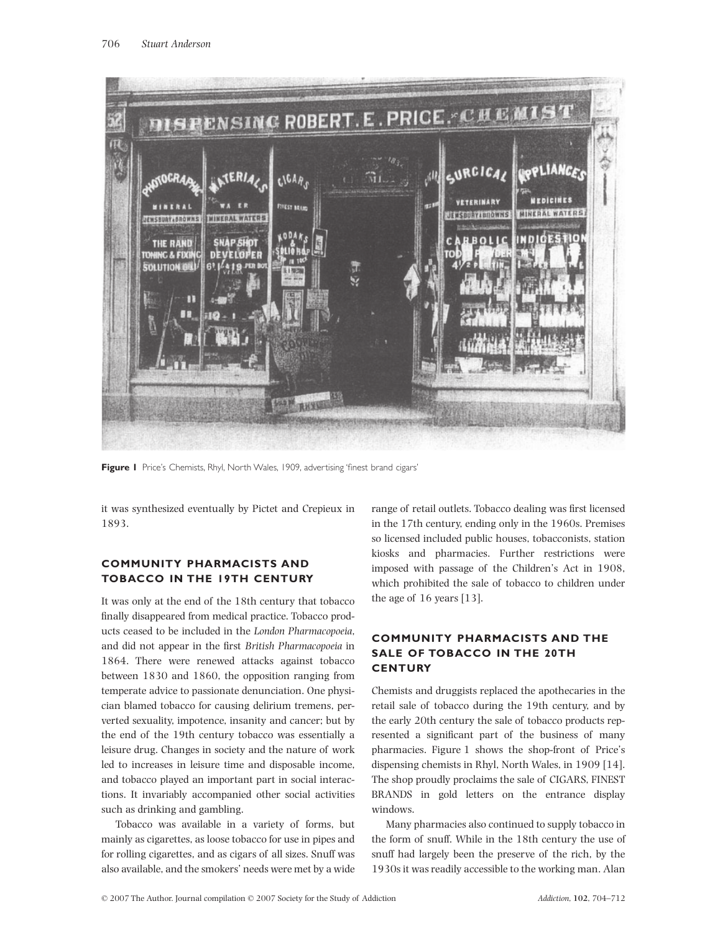ENSING ROBERT. E. PRICE. CHEMIST EURCICA LIANCA **INOCRA** 川  $616A$ **TERIA NEDICINES** VETERINARY **ER FINEST BRAND** WA **MINERAL MINERAL WATERS IL CATILY LATIOWNS MINERAL WATERS JEWSRUAY, BROWNS** il O THE RAND m NC & FDO **SOLUTION GLI** 50.0 19 前径

**Figure I** Price's Chemists, Rhyl, North Wales, 1909, advertising 'finest brand cigars'

it was synthesized eventually by Pictet and Crepieux in 1893.

## **COMMUNITY PHARMACISTS AND TOBACCO IN THE 19TH CENTURY**

It was only at the end of the 18th century that tobacco finally disappeared from medical practice. Tobacco products ceased to be included in the *London Pharmacopoeia*, and did not appear in the first *British Pharmacopoeia* in 1864. There were renewed attacks against tobacco between 1830 and 1860, the opposition ranging from temperate advice to passionate denunciation. One physician blamed tobacco for causing delirium tremens, perverted sexuality, impotence, insanity and cancer; but by the end of the 19th century tobacco was essentially a leisure drug. Changes in society and the nature of work led to increases in leisure time and disposable income, and tobacco played an important part in social interactions. It invariably accompanied other social activities such as drinking and gambling.

Tobacco was available in a variety of forms, but mainly as cigarettes, as loose tobacco for use in pipes and for rolling cigarettes, and as cigars of all sizes. Snuff was also available, and the smokers' needs were met by a wide

range of retail outlets. Tobacco dealing was first licensed in the 17th century, ending only in the 1960s. Premises so licensed included public houses, tobacconists, station kiosks and pharmacies. Further restrictions were imposed with passage of the Children's Act in 1908, which prohibited the sale of tobacco to children under the age of 16 years [13].

# **COMMUNITY PHARMACISTS AND THE SALE OF TOBACCO IN THE 20TH CENTURY**

Chemists and druggists replaced the apothecaries in the retail sale of tobacco during the 19th century, and by the early 20th century the sale of tobacco products represented a significant part of the business of many pharmacies. Figure 1 shows the shop-front of Price's dispensing chemists in Rhyl, North Wales, in 1909 [14]. The shop proudly proclaims the sale of CIGARS, FINEST BRANDS in gold letters on the entrance display windows.

Many pharmacies also continued to supply tobacco in the form of snuff. While in the 18th century the use of snuff had largely been the preserve of the rich, by the 1930s it was readily accessible to the working man. Alan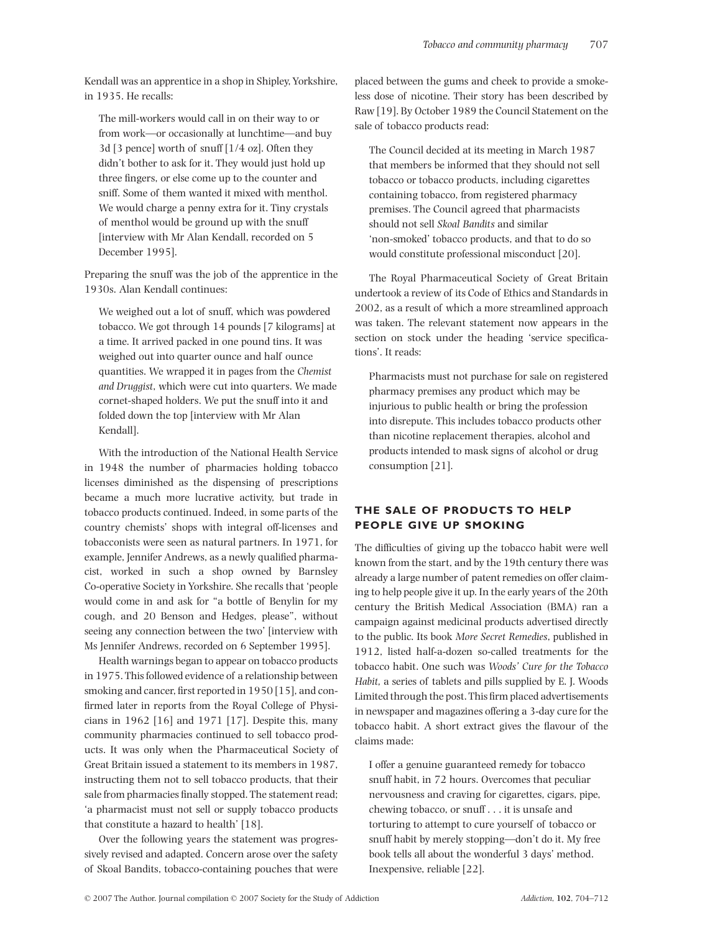Kendall was an apprentice in a shop in Shipley, Yorkshire, in 1935. He recalls:

The mill-workers would call in on their way to or from work—or occasionally at lunchtime—and buy 3d [3 pence] worth of snuff [1/4 oz]. Often they didn't bother to ask for it. They would just hold up three fingers, or else come up to the counter and sniff. Some of them wanted it mixed with menthol. We would charge a penny extra for it. Tiny crystals of menthol would be ground up with the snuff [interview with Mr Alan Kendall, recorded on 5 December 1995].

Preparing the snuff was the job of the apprentice in the 1930s. Alan Kendall continues:

We weighed out a lot of snuff, which was powdered tobacco. We got through 14 pounds [7 kilograms] at a time. It arrived packed in one pound tins. It was weighed out into quarter ounce and half ounce quantities. We wrapped it in pages from the *Chemist and Druggist*, which were cut into quarters. We made cornet-shaped holders. We put the snuff into it and folded down the top [interview with Mr Alan Kendall].

With the introduction of the National Health Service in 1948 the number of pharmacies holding tobacco licenses diminished as the dispensing of prescriptions became a much more lucrative activity, but trade in tobacco products continued. Indeed, in some parts of the country chemists' shops with integral off-licenses and tobacconists were seen as natural partners. In 1971, for example, Jennifer Andrews, as a newly qualified pharmacist, worked in such a shop owned by Barnsley Co-operative Society in Yorkshire. She recalls that 'people would come in and ask for "a bottle of Benylin for my cough, and 20 Benson and Hedges, please", without seeing any connection between the two' [interview with Ms Jennifer Andrews, recorded on 6 September 1995].

Health warnings began to appear on tobacco products in 1975. This followed evidence of a relationship between smoking and cancer, first reported in 1950 [15], and confirmed later in reports from the Royal College of Physicians in 1962 [16] and 1971 [17]. Despite this, many community pharmacies continued to sell tobacco products. It was only when the Pharmaceutical Society of Great Britain issued a statement to its members in 1987, instructing them not to sell tobacco products, that their sale from pharmacies finally stopped. The statement read; 'a pharmacist must not sell or supply tobacco products that constitute a hazard to health' [18].

Over the following years the statement was progressively revised and adapted. Concern arose over the safety of Skoal Bandits, tobacco-containing pouches that were placed between the gums and cheek to provide a smokeless dose of nicotine. Their story has been described by Raw [19]. By October 1989 the Council Statement on the sale of tobacco products read:

The Council decided at its meeting in March 1987 that members be informed that they should not sell tobacco or tobacco products, including cigarettes containing tobacco, from registered pharmacy premises. The Council agreed that pharmacists should not sell *Skoal Bandits* and similar 'non-smoked' tobacco products, and that to do so would constitute professional misconduct [20].

The Royal Pharmaceutical Society of Great Britain undertook a review of its Code of Ethics and Standards in 2002, as a result of which a more streamlined approach was taken. The relevant statement now appears in the section on stock under the heading 'service specifications'. It reads:

Pharmacists must not purchase for sale on registered pharmacy premises any product which may be injurious to public health or bring the profession into disrepute. This includes tobacco products other than nicotine replacement therapies, alcohol and products intended to mask signs of alcohol or drug consumption [21].

## **THE SALE OF PRODUCTS TO HELP PEOPLE GIVE UP SMOKING**

The difficulties of giving up the tobacco habit were well known from the start, and by the 19th century there was already a large number of patent remedies on offer claiming to help people give it up. In the early years of the 20th century the British Medical Association (BMA) ran a campaign against medicinal products advertised directly to the public. Its book *More Secret Remedies*, published in 1912, listed half-a-dozen so-called treatments for the tobacco habit. One such was *Woods' Cure for the Tobacco Habit,* a series of tablets and pills supplied by E. J. Woods Limited through the post. This firm placed advertisements in newspaper and magazines offering a 3-day cure for the tobacco habit. A short extract gives the flavour of the claims made:

I offer a genuine guaranteed remedy for tobacco snuff habit, in 72 hours. Overcomes that peculiar nervousness and craving for cigarettes, cigars, pipe, chewing tobacco, or snuff . . . it is unsafe and torturing to attempt to cure yourself of tobacco or snuff habit by merely stopping—don't do it. My free book tells all about the wonderful 3 days' method. Inexpensive, reliable [22].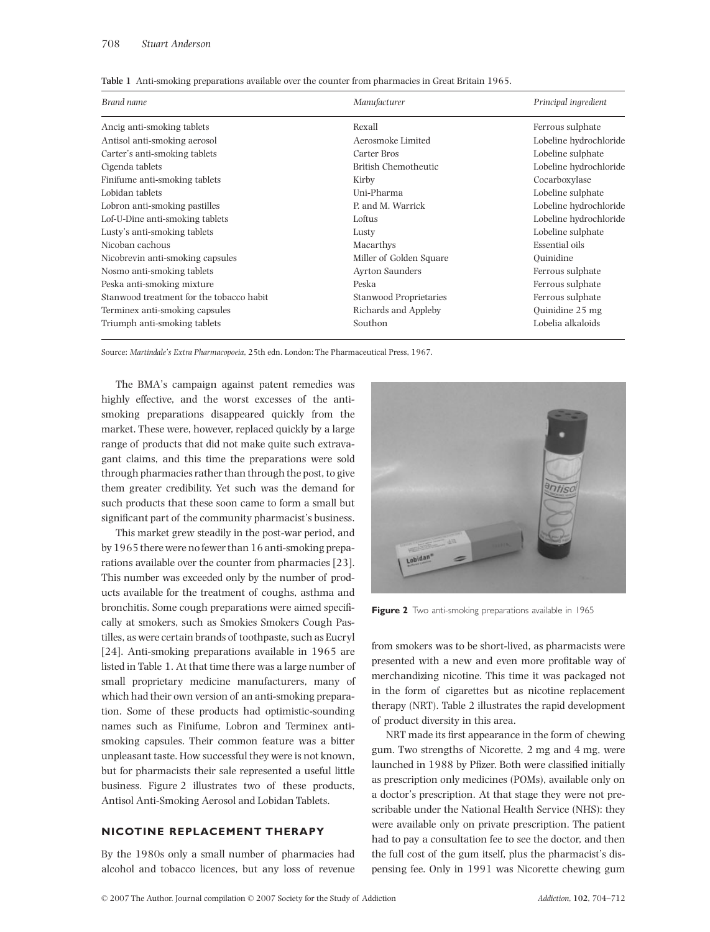|  | Table 1 Anti-smoking preparations available over the counter from pharmacies in Great Britain 1965. |  |  |  |  |  |  |  |  |  |
|--|-----------------------------------------------------------------------------------------------------|--|--|--|--|--|--|--|--|--|
|--|-----------------------------------------------------------------------------------------------------|--|--|--|--|--|--|--|--|--|

| Brand name                               | Manufacturer                  | Principal ingredient   |
|------------------------------------------|-------------------------------|------------------------|
| Ancig anti-smoking tablets               | Rexall                        | Ferrous sulphate       |
| Antisol anti-smoking aerosol             | Aerosmoke Limited             | Lobeline hydrochloride |
| Carter's anti-smoking tablets            | Carter Bros                   | Lobeline sulphate      |
| Cigenda tablets                          | British Chemotheutic          | Lobeline hydrochloride |
| Finifume anti-smoking tablets            | Kirby                         | Cocarboxylase          |
| Lobidan tablets                          | Uni-Pharma                    | Lobeline sulphate      |
| Lobron anti-smoking pastilles            | P. and M. Warrick             | Lobeline hydrochloride |
| Lof-U-Dine anti-smoking tablets          | Loftus                        | Lobeline hydrochloride |
| Lusty's anti-smoking tablets             | Lusty                         | Lobeline sulphate      |
| Nicoban cachous                          | Macarthys                     | Essential oils         |
| Nicobrevin anti-smoking capsules         | Miller of Golden Square       | Ouinidine              |
| Nosmo anti-smoking tablets               | Ayrton Saunders               | Ferrous sulphate       |
| Peska anti-smoking mixture               | Peska                         | Ferrous sulphate       |
| Stanwood treatment for the tobacco habit | <b>Stanwood Proprietaries</b> | Ferrous sulphate       |
| Terminex anti-smoking capsules           | Richards and Appleby          | Ouinidine 25 mg        |
| Triumph anti-smoking tablets             | Southon                       | Lobelia alkaloids      |

Source: *Martindale's Extra Pharmacopoeia*, 25th edn. London: The Pharmaceutical Press, 1967.

The BMA's campaign against patent remedies was highly effective, and the worst excesses of the antismoking preparations disappeared quickly from the market. These were, however, replaced quickly by a large range of products that did not make quite such extravagant claims, and this time the preparations were sold through pharmacies rather than through the post, to give them greater credibility. Yet such was the demand for such products that these soon came to form a small but significant part of the community pharmacist's business.

This market grew steadily in the post-war period, and by 1965 there were no fewer than 16 anti-smoking preparations available over the counter from pharmacies [23]. This number was exceeded only by the number of products available for the treatment of coughs, asthma and bronchitis. Some cough preparations were aimed specifically at smokers, such as Smokies Smokers Cough Pastilles, as were certain brands of toothpaste, such as Eucryl [24]. Anti-smoking preparations available in 1965 are listed in Table 1. At that time there was a large number of small proprietary medicine manufacturers, many of which had their own version of an anti-smoking preparation. Some of these products had optimistic-sounding names such as Finifume, Lobron and Terminex antismoking capsules. Their common feature was a bitter unpleasant taste. How successful they were is not known, but for pharmacists their sale represented a useful little business. Figure 2 illustrates two of these products, Antisol Anti-Smoking Aerosol and Lobidan Tablets.

## **NICOTINE REPLACEMENT THERAPY**

By the 1980s only a small number of pharmacies had alcohol and tobacco licences, but any loss of revenue



**Figure 2** Two anti-smoking preparations available in 1965

from smokers was to be short-lived, as pharmacists were presented with a new and even more profitable way of merchandizing nicotine. This time it was packaged not in the form of cigarettes but as nicotine replacement therapy (NRT). Table 2 illustrates the rapid development of product diversity in this area.

NRT made its first appearance in the form of chewing gum. Two strengths of Nicorette, 2 mg and 4 mg, were launched in 1988 by Pfizer. Both were classified initially as prescription only medicines (POMs), available only on a doctor's prescription. At that stage they were not prescribable under the National Health Service (NHS): they were available only on private prescription. The patient had to pay a consultation fee to see the doctor, and then the full cost of the gum itself, plus the pharmacist's dispensing fee. Only in 1991 was Nicorette chewing gum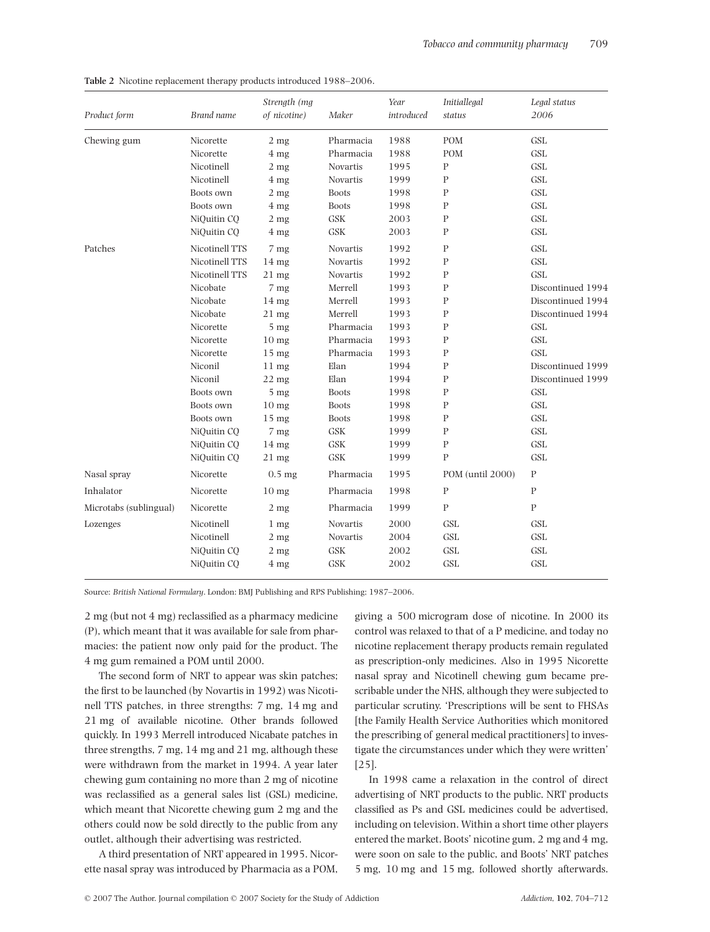| Product form           | Brand name     | Strength (mg<br>of nicotine) | Maker           | Year<br>introduced | <b>Initiallegal</b><br>status | Legal status<br>2006 |
|------------------------|----------------|------------------------------|-----------------|--------------------|-------------------------------|----------------------|
| Chewing gum            | Nicorette      | 2 <sub>mg</sub>              | Pharmacia       | 1988               | POM                           | <b>GSL</b>           |
|                        | Nicorette      | 4 <sub>mg</sub>              | Pharmacia       | 1988               | POM                           | <b>GSL</b>           |
|                        | Nicotinell     | 2 <sub>mg</sub>              | <b>Novartis</b> | 1995               | $\mathbf{P}$                  | <b>GSL</b>           |
|                        | Nicotinell     | 4 <sub>mg</sub>              | Novartis        | 1999               | ${\bf P}$                     | <b>GSL</b>           |
|                        | Boots own      | 2 <sub>mg</sub>              | <b>Boots</b>    | 1998               | $\mathbf{P}$                  | <b>GSL</b>           |
|                        | Boots own      | 4 <sub>mg</sub>              | <b>Boots</b>    | 1998               | $\mathbf P$                   | <b>GSL</b>           |
|                        | NiQuitin CQ    | $2 \text{ mg}$               | <b>GSK</b>      | 2003               | $\mathbf P$                   | <b>GSL</b>           |
|                        | NiQuitin CQ    | 4 <sub>mg</sub>              | <b>GSK</b>      | 2003               | $\mathbf P$                   | <b>GSL</b>           |
| Patches                | Nicotinell TTS | 7 <sub>mg</sub>              | <b>Novartis</b> | 1992               | $\mathbf P$                   | <b>GSL</b>           |
|                        | Nicotinell TTS | 14mg                         | <b>Novartis</b> | 1992               | $\mathbf{P}$                  | <b>GSL</b>           |
|                        | Nicotinell TTS | $21$ mg                      | Novartis        | 1992               | $\mathbf{P}$                  | <b>GSL</b>           |
|                        | Nicobate       | 7 mg                         | Merrell         | 1993               | P                             | Discontinued 1994    |
|                        | Nicobate       | 14mg                         | Merrell         | 1993               | P                             | Discontinued 1994    |
|                        | Nicobate       | $21 \text{ mg}$              | Merrell         | 1993               | P                             | Discontinued 1994    |
|                        | Nicorette      | 5 <sub>mg</sub>              | Pharmacia       | 1993               | P                             | <b>GSL</b>           |
|                        | Nicorette      | 10 <sub>mg</sub>             | Pharmacia       | 1993               | $\mathbf{P}$                  | <b>GSL</b>           |
|                        | Nicorette      | 15 <sub>mg</sub>             | Pharmacia       | 1993               | $\mathbf{P}$                  | <b>GSL</b>           |
|                        | Niconil        | 11 mg                        | Elan            | 1994               | $\mathbf{P}$                  | Discontinued 1999    |
|                        | Niconil        | $22$ mg                      | Elan            | 1994               | P                             | Discontinued 1999    |
|                        | Boots own      | 5 <sub>mg</sub>              | <b>Boots</b>    | 1998               | P                             | <b>GSL</b>           |
|                        | Boots own      | 10 <sub>mg</sub>             | <b>Boots</b>    | 1998               | P                             | <b>GSL</b>           |
|                        | Boots own      | $15 \text{ mg}$              | <b>Boots</b>    | 1998               | P                             | <b>GSL</b>           |
|                        | NiOuitin CO    | 7 mg                         | <b>GSK</b>      | 1999               | $\mathbf{P}$                  | <b>GSL</b>           |
|                        | NiOuitin CO    | 14 mg                        | <b>GSK</b>      | 1999               | $\mathbf{P}$                  | <b>GSL</b>           |
|                        | NiQuitin CQ    | $21 \text{ mg}$              | <b>GSK</b>      | 1999               | $\mathbf{P}$                  | <b>GSL</b>           |
| Nasal spray            | Nicorette      | $0.5$ mg                     | Pharmacia       | 1995               | POM (until 2000)              | $\mathbf{P}$         |
| Inhalator              | Nicorette      | 10 <sub>mg</sub>             | Pharmacia       | 1998               | $\mathbf{P}$                  | $\mathbf{P}$         |
| Microtabs (sublingual) | Nicorette      | $2 \text{ mg}$               | Pharmacia       | 1999               | $\mathbf{P}$                  | $\mathbf{P}$         |
| Lozenges               | Nicotinell     | $1 \text{ mg}$               | <b>Novartis</b> | 2000               | <b>GSL</b>                    | <b>GSL</b>           |
|                        | Nicotinell     | $2 \text{ mg}$               | Novartis        | 2004               | <b>GSL</b>                    | <b>GSL</b>           |
|                        | NiQuitin CQ    | 2 <sub>mg</sub>              | <b>GSK</b>      | 2002               | <b>GSL</b>                    | <b>GSL</b>           |
|                        | NiOuitin CO    | 4 <sub>mg</sub>              | <b>GSK</b>      | 2002               | <b>GSL</b>                    | <b>GSL</b>           |
|                        |                |                              |                 |                    |                               |                      |

**Table 2** Nicotine replacement therapy products introduced 1988–2006.

Source: *British National Formulary*. London: BMJ Publishing and RPS Publishing; 1987–2006.

2 mg (but not 4 mg) reclassified as a pharmacy medicine (P), which meant that it was available for sale from pharmacies: the patient now only paid for the product. The 4 mg gum remained a POM until 2000.

The second form of NRT to appear was skin patches; the first to be launched (by Novartis in 1992) was Nicotinell TTS patches, in three strengths: 7 mg, 14 mg and 21 mg of available nicotine. Other brands followed quickly. In 1993 Merrell introduced Nicabate patches in three strengths, 7 mg, 14 mg and 21 mg, although these were withdrawn from the market in 1994. A year later chewing gum containing no more than 2 mg of nicotine was reclassified as a general sales list (GSL) medicine, which meant that Nicorette chewing gum 2 mg and the others could now be sold directly to the public from any outlet, although their advertising was restricted.

A third presentation of NRT appeared in 1995. Nicorette nasal spray was introduced by Pharmacia as a POM,

giving a 500 microgram dose of nicotine. In 2000 its control was relaxed to that of a P medicine, and today no nicotine replacement therapy products remain regulated as prescription-only medicines. Also in 1995 Nicorette nasal spray and Nicotinell chewing gum became prescribable under the NHS, although they were subjected to particular scrutiny. 'Prescriptions will be sent to FHSAs [the Family Health Service Authorities which monitored the prescribing of general medical practitioners] to investigate the circumstances under which they were written' [25].

In 1998 came a relaxation in the control of direct advertising of NRT products to the public. NRT products classified as Ps and GSL medicines could be advertised, including on television. Within a short time other players entered the market. Boots' nicotine gum, 2 mg and 4 mg, were soon on sale to the public, and Boots' NRT patches 5 mg, 10 mg and 15 mg, followed shortly afterwards.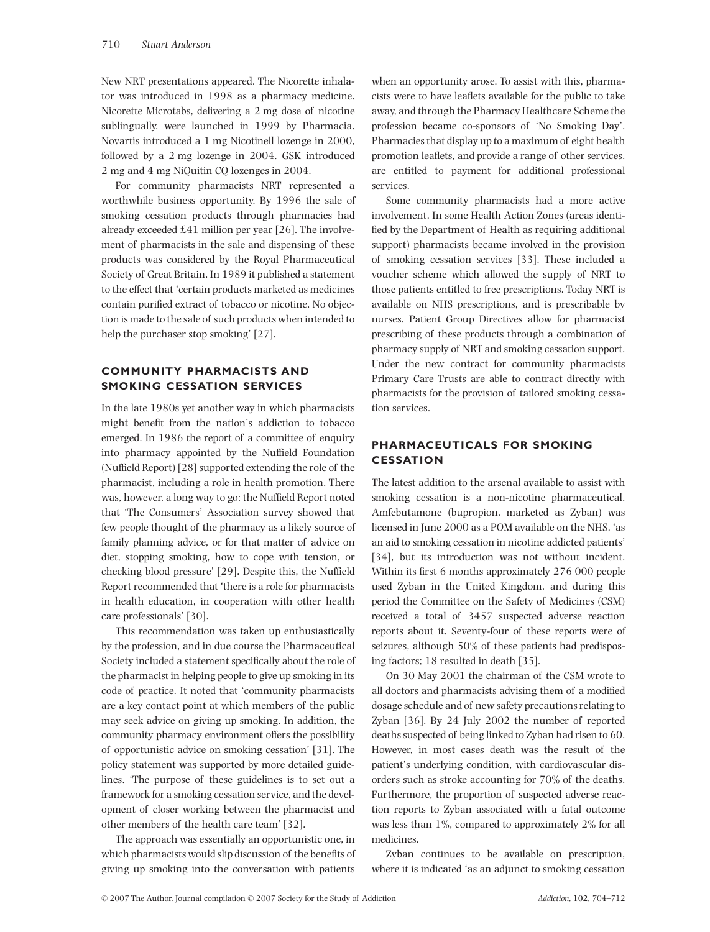New NRT presentations appeared. The Nicorette inhalator was introduced in 1998 as a pharmacy medicine. Nicorette Microtabs, delivering a 2 mg dose of nicotine sublingually, were launched in 1999 by Pharmacia. Novartis introduced a 1 mg Nicotinell lozenge in 2000, followed by a 2 mg lozenge in 2004. GSK introduced 2 mg and 4 mg NiQuitin CQ lozenges in 2004.

For community pharmacists NRT represented a worthwhile business opportunity. By 1996 the sale of smoking cessation products through pharmacies had already exceeded £41 million per year [26]. The involvement of pharmacists in the sale and dispensing of these products was considered by the Royal Pharmaceutical Society of Great Britain. In 1989 it published a statement to the effect that 'certain products marketed as medicines contain purified extract of tobacco or nicotine. No objection is made to the sale of such products when intended to help the purchaser stop smoking' [27].

## **COMMUNITY PHARMACISTS AND SMOKING CESSATION SERVICES**

In the late 1980s yet another way in which pharmacists might benefit from the nation's addiction to tobacco emerged. In 1986 the report of a committee of enquiry into pharmacy appointed by the Nuffield Foundation (Nuffield Report) [28] supported extending the role of the pharmacist, including a role in health promotion. There was, however, a long way to go; the Nuffield Report noted that 'The Consumers' Association survey showed that few people thought of the pharmacy as a likely source of family planning advice, or for that matter of advice on diet, stopping smoking, how to cope with tension, or checking blood pressure' [29]. Despite this, the Nuffield Report recommended that 'there is a role for pharmacists in health education, in cooperation with other health care professionals' [30].

This recommendation was taken up enthusiastically by the profession, and in due course the Pharmaceutical Society included a statement specifically about the role of the pharmacist in helping people to give up smoking in its code of practice. It noted that 'community pharmacists are a key contact point at which members of the public may seek advice on giving up smoking. In addition, the community pharmacy environment offers the possibility of opportunistic advice on smoking cessation' [31]. The policy statement was supported by more detailed guidelines. 'The purpose of these guidelines is to set out a framework for a smoking cessation service, and the development of closer working between the pharmacist and other members of the health care team' [32].

The approach was essentially an opportunistic one, in which pharmacists would slip discussion of the benefits of giving up smoking into the conversation with patients when an opportunity arose. To assist with this, pharmacists were to have leaflets available for the public to take away, and through the Pharmacy Healthcare Scheme the profession became co-sponsors of 'No Smoking Day'. Pharmacies that display up to a maximum of eight health promotion leaflets, and provide a range of other services, are entitled to payment for additional professional services.

Some community pharmacists had a more active involvement. In some Health Action Zones (areas identified by the Department of Health as requiring additional support) pharmacists became involved in the provision of smoking cessation services [33]. These included a voucher scheme which allowed the supply of NRT to those patients entitled to free prescriptions. Today NRT is available on NHS prescriptions, and is prescribable by nurses. Patient Group Directives allow for pharmacist prescribing of these products through a combination of pharmacy supply of NRT and smoking cessation support. Under the new contract for community pharmacists Primary Care Trusts are able to contract directly with pharmacists for the provision of tailored smoking cessation services.

# **PHARMACEUTICALS FOR SMOKING CESSATION**

The latest addition to the arsenal available to assist with smoking cessation is a non-nicotine pharmaceutical. Amfebutamone (bupropion, marketed as Zyban) was licensed in June 2000 as a POM available on the NHS, 'as an aid to smoking cessation in nicotine addicted patients' [34], but its introduction was not without incident. Within its first 6 months approximately 276 000 people used Zyban in the United Kingdom, and during this period the Committee on the Safety of Medicines (CSM) received a total of 3457 suspected adverse reaction reports about it. Seventy-four of these reports were of seizures, although 50% of these patients had predisposing factors; 18 resulted in death [35].

On 30 May 2001 the chairman of the CSM wrote to all doctors and pharmacists advising them of a modified dosage schedule and of new safety precautions relating to Zyban [36]. By 24 July 2002 the number of reported deaths suspected of being linked to Zyban had risen to 60. However, in most cases death was the result of the patient's underlying condition, with cardiovascular disorders such as stroke accounting for 70% of the deaths. Furthermore, the proportion of suspected adverse reaction reports to Zyban associated with a fatal outcome was less than 1%, compared to approximately 2% for all medicines.

Zyban continues to be available on prescription, where it is indicated 'as an adjunct to smoking cessation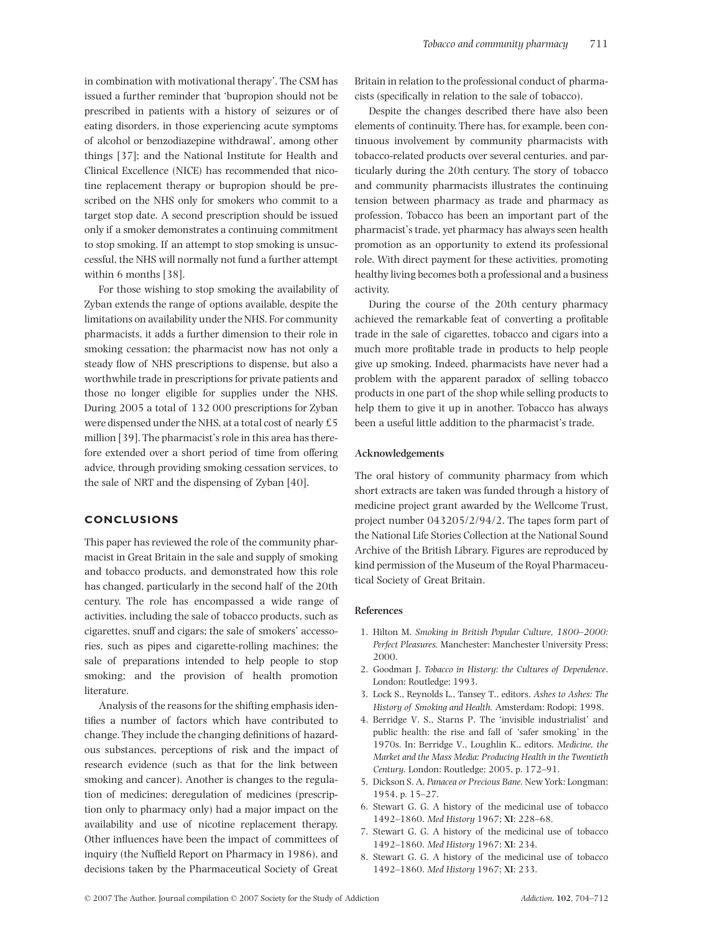in combination with motivational therapy'. The CSM has issued a further reminder that 'bupropion should not be prescribed in patients with a history of seizures or of eating disorders, in those experiencing acute symptoms of alcohol or benzodiazepine withdrawal', among other things [37]; and the National Institute for Health and Clinical Excellence (NICE) has recommended that nicotine replacement therapy or bupropion should be prescribed on the NHS only for smokers who commit to a target stop date. A second prescription should be issued only if a smoker demonstrates a continuing commitment to stop smoking. If an attempt to stop smoking is unsuccessful, the NHS will normally not fund a further attempt within 6 months [38].

For those wishing to stop smoking the availability of Zyban extends the range of options available, despite the limitations on availability under the NHS. For community pharmacists, it adds a further dimension to their role in smoking cessation; the pharmacist now has not only a steady flow of NHS prescriptions to dispense, but also a worthwhile trade in prescriptions for private patients and those no longer eligible for supplies under the NHS. During 2005 a total of 132 000 prescriptions for Zyban were dispensed under the NHS, at a total cost of nearly £5 million [39]. The pharmacist's role in this area has therefore extended over a short period of time from offering advice, through providing smoking cessation services, to the sale of NRT and the dispensing of Zyban [40].

#### **CONCLUSIONS**

This paper has reviewed the role of the community pharmacist in Great Britain in the sale and supply of smoking and tobacco products, and demonstrated how this role has changed, particularly in the second half of the 20th century. The role has encompassed a wide range of activities, including the sale of tobacco products, such as cigarettes, snuff and cigars; the sale of smokers' accessories, such as pipes and cigarette-rolling machines; the sale of preparations intended to help people to stop smoking; and the provision of health promotion literature.

Analysis of the reasons for the shifting emphasis identifies a number of factors which have contributed to change. They include the changing definitions of hazardous substances, perceptions of risk and the impact of research evidence (such as that for the link between smoking and cancer). Another is changes to the regulation of medicines; deregulation of medicines (prescription only to pharmacy only) had a major impact on the availability and use of nicotine replacement therapy. Other influences have been the impact of committees of inquiry (the Nuffield Report on Pharmacy in 1986), and decisions taken by the Pharmaceutical Society of Great

Britain in relation to the professional conduct of pharmacists (specifically in relation to the sale of tobacco).

Despite the changes described there have also been elements of continuity. There has, for example, been continuous involvement by community pharmacists with tobacco-related products over several centuries, and particularly during the 20th century. The story of tobacco and community pharmacists illustrates the continuing tension between pharmacy as trade and pharmacy as profession. Tobacco has been an important part of the pharmacist's trade, yet pharmacy has always seen health promotion as an opportunity to extend its professional role. With direct payment for these activities, promoting healthy living becomes both a professional and a business activity.

During the course of the 20th century pharmacy achieved the remarkable feat of converting a profitable trade in the sale of cigarettes, tobacco and cigars into a much more profitable trade in products to help people give up smoking. Indeed, pharmacists have never had a problem with the apparent paradox of selling tobacco products in one part of the shop while selling products to help them to give it up in another. Tobacco has always been a useful little addition to the pharmacist's trade.

#### **Acknowledgements**

The oral history of community pharmacy from which short extracts are taken was funded through a history of medicine project grant awarded by the Wellcome Trust, project number 043205/2/94/2. The tapes form part of the National Life Stories Collection at the National Sound Archive of the British Library. Figures are reproduced by kind permission of the Museum of the Royal Pharmaceutical Society of Great Britain.

#### **References**

- 1. Hilton M. *Smoking in British Popular Culture, 1800–2000: Perfect Pleasures.* Manchester: Manchester University Press; 2000.
- 2. Goodman J. *Tobacco in History: the Cultures of Dependence*. London: Routledge; 1993.
- 3. Lock S., Reynolds L., Tansey T., editors. *Ashes to Ashes: The History of Smoking and Health.* Amsterdam: Rodopi; 1998.
- 4. Berridge V. S., Starns P. The 'invisible industrialist' and public health: the rise and fall of 'safer smoking' in the 1970s. In: Berridge V., Loughlin K., editors. *Medicine, the Market and the Mass Media: Producing Health in the Twentieth Century.* London: Routledge; 2005, p. 172–91.
- 5. Dickson S. A. *Panacea or Precious Bane.* New York: Longman; 1954, p. 15–27.
- 6. Stewart G. G. A history of the medicinal use of tobacco 1492–1860. *Med History* 1967; **XI**: 228–68.
- 7. Stewart G. G. A history of the medicinal use of tobacco 1492–1860. *Med History* 1967; **XI**: 234.
- 8. Stewart G. G. A history of the medicinal use of tobacco 1492–1860. *Med History* 1967; **XI**: 233.